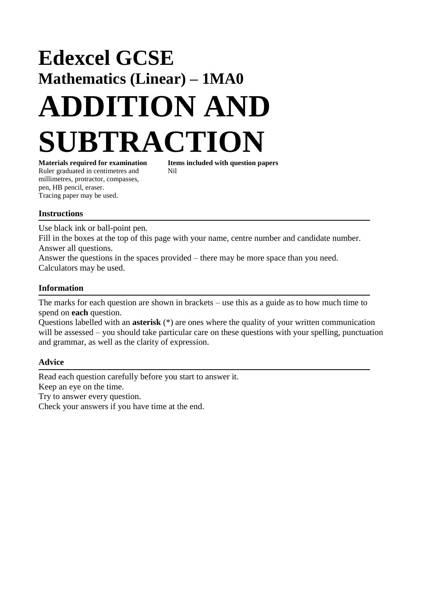# **Edexcel GCSE Mathematics (Linear) – 1MA0 ADDITION AND SUBTRACTION Materials required for examination Items included with question papers**

Ruler graduated in centimetres and Nil millimetres, protractor, compasses, pen, HB pencil, eraser. Tracing paper may be used.

### **Instructions**

Use black ink or ball-point pen.

Fill in the boxes at the top of this page with your name, centre number and candidate number. Answer all questions.

Answer the questions in the spaces provided – there may be more space than you need. Calculators may be used.

### **Information**

The marks for each question are shown in brackets – use this as a guide as to how much time to spend on **each** question.

Questions labelled with an **asterisk** (\*) are ones where the quality of your written communication will be assessed – you should take particular care on these questions with your spelling, punctuation and grammar, as well as the clarity of expression.

### **Advice**

Read each question carefully before you start to answer it. Keep an eye on the time. Try to answer every question. Check your answers if you have time at the end.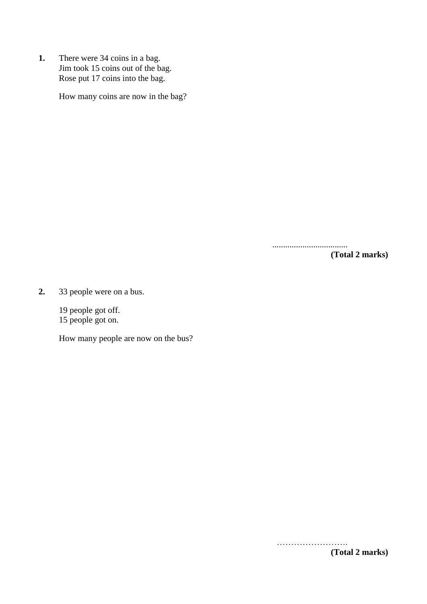**1.** There were 34 coins in a bag. Jim took 15 coins out of the bag. Rose put 17 coins into the bag.

How many coins are now in the bag?

...................................

**(Total 2 marks)**

**2.** 33 people were on a bus.

19 people got off. 15 people got on.

How many people are now on the bus?

**(Total 2 marks)**

…………………….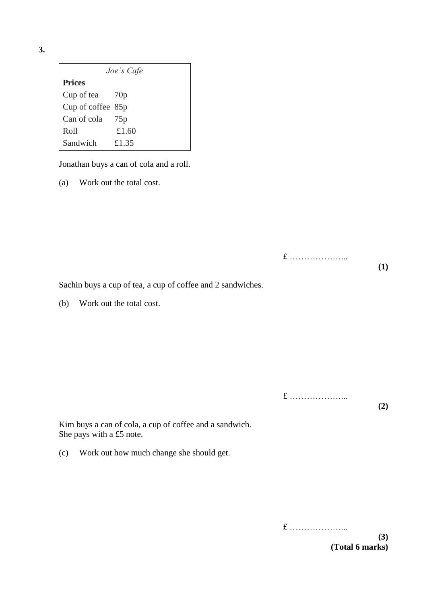| ۰.<br>×.<br>I      |        |
|--------------------|--------|
| ×<br>۰.<br>۰.<br>v | $\sim$ |

| Joe's Cafe        |       |  |  |  |
|-------------------|-------|--|--|--|
| <b>Prices</b>     |       |  |  |  |
| Cup of tea 70p    |       |  |  |  |
| Cup of coffee 85p |       |  |  |  |
| Can of cola 75p   |       |  |  |  |
| Roll              | £1.60 |  |  |  |
| Sandwich          | £1.35 |  |  |  |

Jonathan buys a can of cola and a roll.

(a) Work out the total cost.

£ ………………...

**(1)**

Sachin buys a cup of tea, a cup of coffee and 2 sandwiches.

(b) Work out the total cost.

£ ………………... **(2)**

Kim buys a can of cola, a cup of coffee and a sandwich. She pays with a £5 note.

(c) Work out how much change she should get.

£ ………………... **(3) (Total 6 marks)**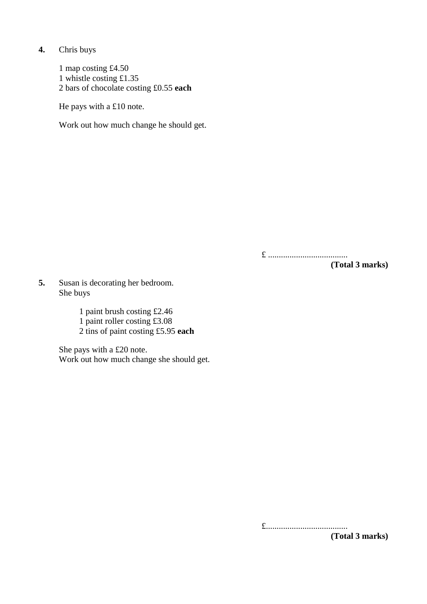**4.** Chris buys

1 map costing £4.50 1 whistle costing £1.35 2 bars of chocolate costing £0.55 **each**

He pays with a £10 note.

Work out how much change he should get.

£ .....................................

**(Total 3 marks)**

**5.** Susan is decorating her bedroom. She buys

1 paint brush costing £2.46

1 paint roller costing £3.08

2 tins of paint costing £5.95 **each**

She pays with a £20 note. Work out how much change she should get.

£......................................

**(Total 3 marks)**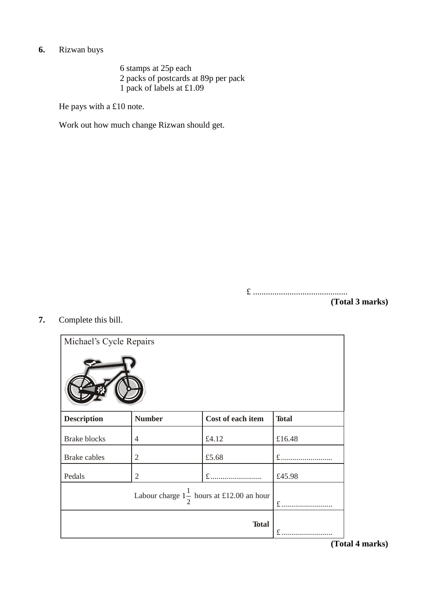# **6.** Rizwan buys

6 stamps at 25p each 2 packs of postcards at 89p per pack 1 pack of labels at £1.09

He pays with a £10 note.

Work out how much change Rizwan should get.

£ ............................................

**(Total 3 marks)**

**7.** Complete this bill.

| Michael's Cycle Repairs                              |                |                   |              |
|------------------------------------------------------|----------------|-------------------|--------------|
| <b>Description</b>                                   | <b>Number</b>  | Cost of each item | <b>Total</b> |
| <b>Brake blocks</b>                                  | $\overline{4}$ | £4.12             | £16.48       |
| <b>Brake</b> cables                                  | 2              | £5.68             | $f$          |
| Pedals                                               | 2              | £                 | £45.98       |
| Labour charge $1\frac{1}{2}$ hours at £12.00 an hour |                | $f$               |              |
|                                                      |                | <b>Total</b>      |              |

**(Total 4 marks)**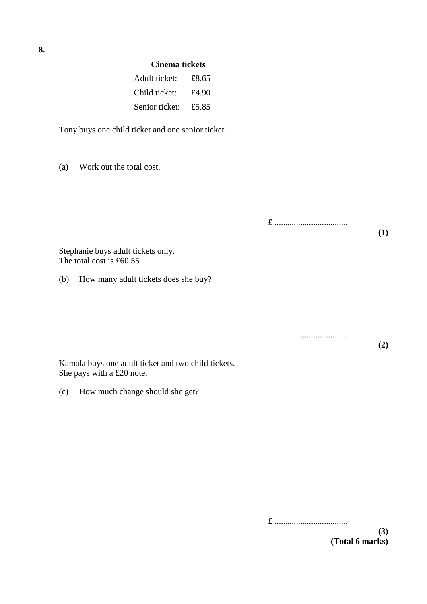| Cinema tickets |       |  |  |
|----------------|-------|--|--|
| Adult ticket:  | £8.65 |  |  |
| Child ticket:  | £4.90 |  |  |
| Senior ticket: | £5.85 |  |  |

Tony buys one child ticket and one senior ticket.

(a) Work out the total cost.

£ ..................................

........................

**(1)**

**(2)**

Stephanie buys adult tickets only. The total cost is £60.55

(b) How many adult tickets does she buy?

Kamala buys one adult ticket and two child tickets. She pays with a £20 note.

(c) How much change should she get?

**8.**

£ ..................................

**(3) (Total 6 marks)**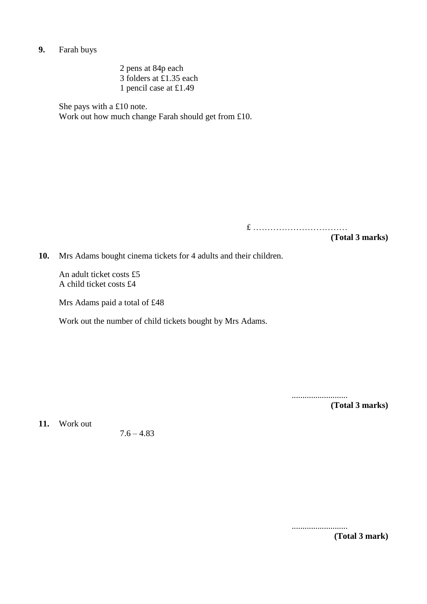**9.** Farah buys

2 pens at 84p each 3 folders at £1.35 each 1 pencil case at £1.49

She pays with a £10 note. Work out how much change Farah should get from £10.

£ ……………………………

**(Total 3 marks)**

**10.** Mrs Adams bought cinema tickets for 4 adults and their children.

An adult ticket costs £5 A child ticket costs £4

Mrs Adams paid a total of £48

Work out the number of child tickets bought by Mrs Adams.

.......................... **(Total 3 marks)**

**11.** Work out

 $7.6 - 4.83$ 

.......................... **(Total 3 mark)**